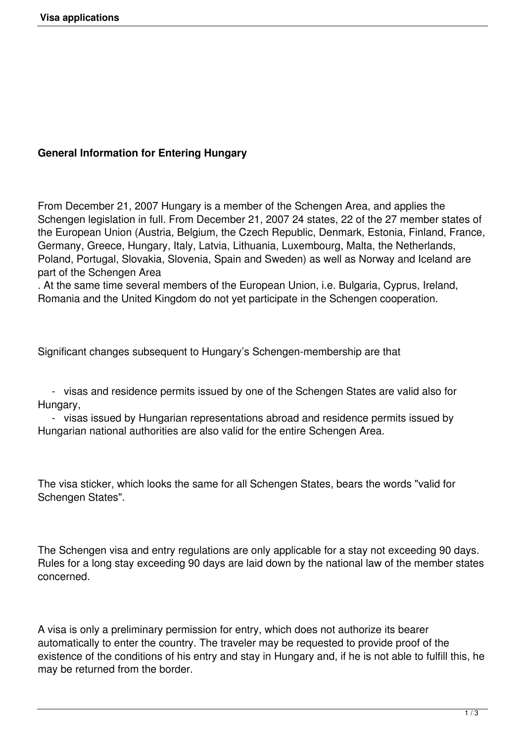## **General Information for Entering Hungary**

From December 21, 2007 Hungary is a member of the Schengen Area, and applies the Schengen legislation in full. From December 21, 2007 24 states, 22 of the 27 member states of the European Union (Austria, Belgium, the Czech Republic, Denmark, Estonia, Finland, France, Germany, Greece, Hungary, Italy, Latvia, Lithuania, Luxembourg, Malta, the Netherlands, Poland, Portugal, Slovakia, Slovenia, Spain and Sweden) as well as Norway and Iceland are part of the Schengen Area

. At the same time several members of the European Union, i.e. Bulgaria, Cyprus, Ireland, Romania and the United Kingdom do not yet participate in the Schengen cooperation.

Significant changes subsequent to Hungary's Schengen-membership are that

 - visas and residence permits issued by one of the Schengen States are valid also for Hungary,

 - visas issued by Hungarian representations abroad and residence permits issued by Hungarian national authorities are also valid for the entire Schengen Area.

The visa sticker, which looks the same for all Schengen States, bears the words "valid for Schengen States".

The Schengen visa and entry regulations are only applicable for a stay not exceeding 90 days. Rules for a long stay exceeding 90 days are laid down by the national law of the member states concerned.

A visa is only a preliminary permission for entry, which does not authorize its bearer automatically to enter the country. The traveler may be requested to provide proof of the existence of the conditions of his entry and stay in Hungary and, if he is not able to fulfill this, he may be returned from the border.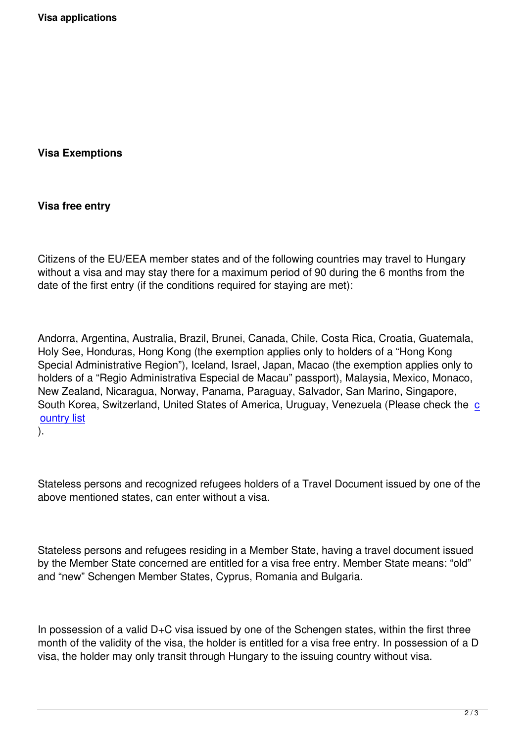## **Visa Exemptions**

## **Visa free entry**

Citizens of the EU/EEA member states and of the following countries may travel to Hungary without a visa and may stay there for a maximum period of 90 during the 6 months from the date of the first entry (if the conditions required for staying are met):

Andorra, Argentina, Australia, Brazil, Brunei, Canada, Chile, Costa Rica, Croatia, Guatemala, Holy See, Honduras, Hong Kong (the exemption applies only to holders of a "Hong Kong Special Administrative Region"), Iceland, Israel, Japan, Macao (the exemption applies only to holders of a "Regio Administrativa Especial de Macau" passport), Malaysia, Mexico, Monaco, New Zealand, Nicaragua, Norway, Panama, Paraguay, Salvador, San Marino, Singapore, South Korea, Switzerland, United States of America, Uruguay, Venezuela (Please check the c ountry list

).

Stateless persons and recognized refugees holders of a Travel Document issued by one of the above mentioned states, can enter without a visa.

Stateless persons and refugees residing in a Member State, having a travel document issued by the Member State concerned are entitled for a visa free entry. Member State means: "old" and "new" Schengen Member States, Cyprus, Romania and Bulgaria.

In possession of a valid D+C visa issued by one of the Schengen states, within the first three month of the validity of the visa, the holder is entitled for a visa free entry. In possession of a D visa, the holder may only transit through Hungary to the issuing country without visa.